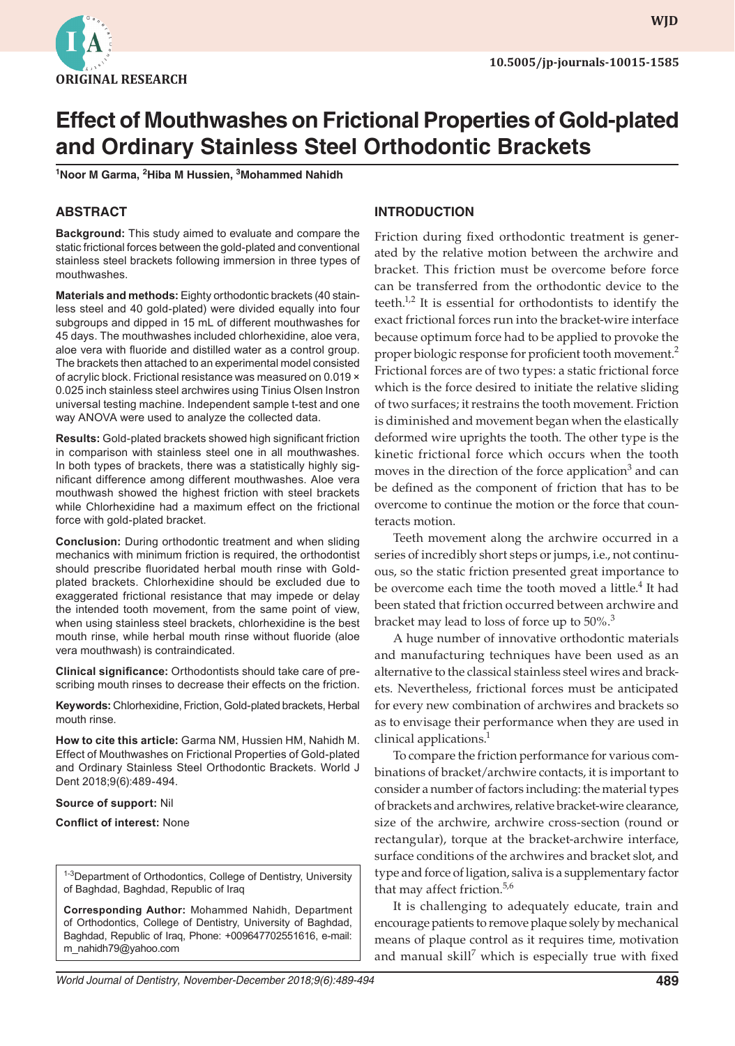

**WJD WJD**

# **Effect of Mouthwashes on Frictional Properties of Gold-plated and Ordinary Stainless Steel Orthodontic Brackets**

**1 Noor M Garma, 2 Hiba M Hussien, 3 Mohammed Nahidh**

# **ABSTRACT**

**Background:** This study aimed to evaluate and compare the static frictional forces between the gold-plated and conventional stainless steel brackets following immersion in three types of mouthwashes.

**Materials and methods:** Eighty orthodontic brackets (40 stainless steel and 40 gold-plated) were divided equally into four subgroups and dipped in 15 mL of different mouthwashes for 45 days. The mouthwashes included chlorhexidine, aloe vera, aloe vera with fluoride and distilled water as a control group. The brackets then attached to an experimental model consisted of acrylic block. Frictional resistance was measured on 0.019 × 0.025 inch stainless steel archwires using Tinius Olsen Instron universal testing machine. Independent sample t-test and one way ANOVA were used to analyze the collected data.

**Results:** Gold-plated brackets showed high significant friction in comparison with stainless steel one in all mouthwashes. In both types of brackets, there was a statistically highly significant difference among different mouthwashes. Aloe vera mouthwash showed the highest friction with steel brackets while Chlorhexidine had a maximum effect on the frictional force with gold-plated bracket.

**Conclusion:** During orthodontic treatment and when sliding mechanics with minimum friction is required, the orthodontist should prescribe fluoridated herbal mouth rinse with Goldplated brackets. Chlorhexidine should be excluded due to exaggerated frictional resistance that may impede or delay the intended tooth movement, from the same point of view, when using stainless steel brackets, chlorhexidine is the best mouth rinse, while herbal mouth rinse without fluoride (aloe vera mouthwash) is contraindicated.

**Clinical significance:** Orthodontists should take care of prescribing mouth rinses to decrease their effects on the friction.

**Keywords:** Chlorhexidine, Friction, Gold-plated brackets, Herbal mouth rinse.

**How to cite this article:** Garma NM, Hussien HM, Nahidh M. Effect of Mouthwashes on Frictional Properties of Gold-plated and Ordinary Stainless Steel Orthodontic Brackets. World J Dent 2018;9(6):489-494.

**Source of support:** Nil

**Conflict of interest:** None

<sup>1-3</sup>Department of Orthodontics, College of Dentistry, University of Baghdad, Baghdad, Republic of Iraq

**Corresponding Author:** Mohammed Nahidh, Department of Orthodontics, College of Dentistry, University of Baghdad, Baghdad, Republic of Iraq, Phone: +009647702551616, e-mail: m\_nahidh79@yahoo.com

# **INTRODUCTION**

Friction during fixed orthodontic treatment is generated by the relative motion between the archwire and bracket. This friction must be overcome before force can be transferred from the orthodontic device to the teeth.<sup>1,2</sup> It is essential for orthodontists to identify the exact frictional forces run into the bracket-wire interface because optimum force had to be applied to provoke the proper biologic response for proficient tooth movement.<sup>2</sup> Frictional forces are of two types: a static frictional force which is the force desired to initiate the relative sliding of two surfaces; it restrains the tooth movement. Friction is diminished and movement began when the elastically deformed wire uprights the tooth. The other type is the kinetic frictional force which occurs when the tooth moves in the direction of the force application<sup>3</sup> and can be defined as the component of friction that has to be overcome to continue the motion or the force that counteracts motion.

Teeth movement along the archwire occurred in a series of incredibly short steps or jumps, i.e., not continuous, so the static friction presented great importance to be overcome each time the tooth moved a little.<sup>4</sup> It had been stated that friction occurred between archwire and bracket may lead to loss of force up to  $50\%$ <sup>3</sup>

A huge number of innovative orthodontic materials and manufacturing techniques have been used as an alternative to the classical stainless steel wires and brackets. Nevertheless, frictional forces must be anticipated for every new combination of archwires and brackets so as to envisage their performance when they are used in clinical applications.<sup>1</sup>

To compare the friction performance for various combinations of bracket/archwire contacts, it is important to consider a number of factors including: the material types of brackets and archwires, relative bracket-wire clearance, size of the archwire, archwire cross-section (round or rectangular), torque at the bracket-archwire interface, surface conditions of the archwires and bracket slot, and type and force of ligation, saliva is a supplementary factor that may affect friction.<sup>5,6</sup>

It is challenging to adequately educate, train and encourage patients to remove plaque solely by mechanical means of plaque control as it requires time, motivation and manual skill<sup>7</sup> which is especially true with fixed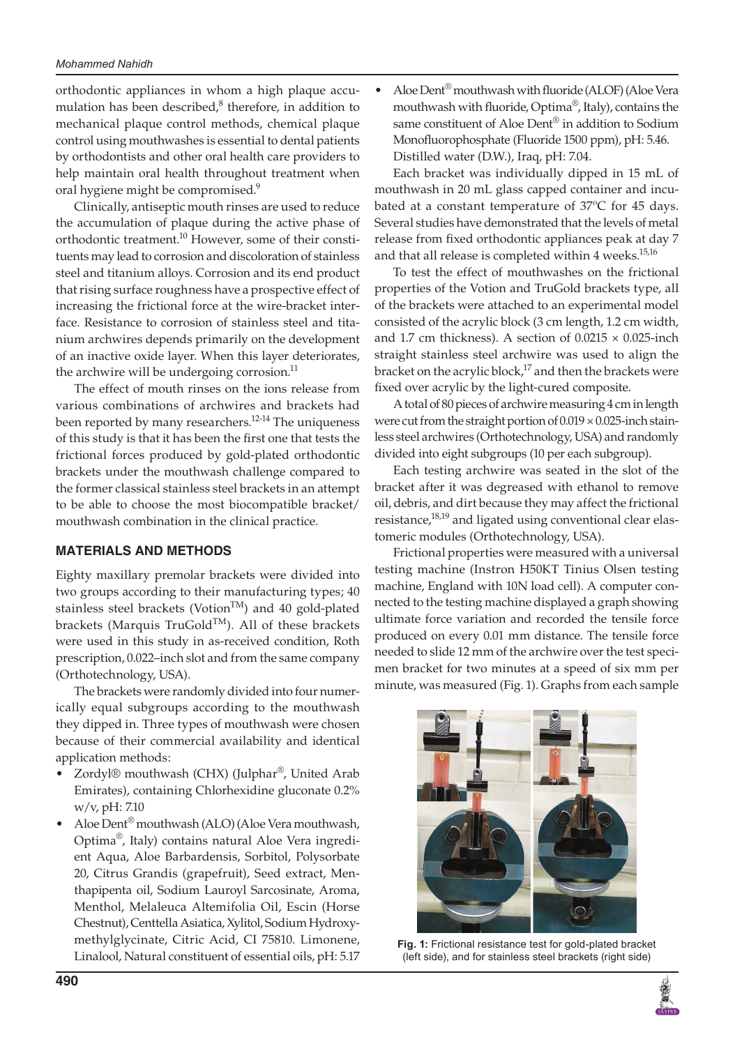#### *Mohammed Nahidh*

orthodontic appliances in whom a high plaque accumulation has been described,<sup>8</sup> therefore, in addition to mechanical plaque control methods, chemical plaque control using mouthwashes is essential to dental patients by orthodontists and other oral health care providers to help maintain oral health throughout treatment when oral hygiene might be compromised.<sup>9</sup>

Clinically, antiseptic mouth rinses are used to reduce the accumulation of plaque during the active phase of orthodontic treatment.<sup>10</sup> However, some of their constituents may lead to corrosion and discoloration of stainless steel and titanium alloys. Corrosion and its end product that rising surface roughness have a prospective effect of increasing the frictional force at the wire-bracket interface. Resistance to corrosion of stainless steel and titanium archwires depends primarily on the development of an inactive oxide layer. When this layer deteriorates, the archwire will be undergoing corrosion.<sup>11</sup>

The effect of mouth rinses on the ions release from various combinations of archwires and brackets had been reported by many researchers.<sup>12-14</sup> The uniqueness of this study is that it has been the first one that tests the frictional forces produced by gold-plated orthodontic brackets under the mouthwash challenge compared to the former classical stainless steel brackets in an attempt to be able to choose the most biocompatible bracket/ mouthwash combination in the clinical practice.

# **MATERIALS AND METHODS**

Eighty maxillary premolar brackets were divided into two groups according to their manufacturing types; 40 stainless steel brackets (Votion<sup>TM</sup>) and 40 gold-plated brackets (Marquis TruGold<sup>TM</sup>). All of these brackets were used in this study in as-received condition, Roth prescription, 0.022–inch slot and from the same company (Orthotechnology, USA).

The brackets were randomly divided into four numerically equal subgroups according to the mouthwash they dipped in. Three types of mouthwash were chosen because of their commercial availability and identical application methods:

- Zordyl® mouthwash (CHX) (Julphar<sup>®</sup>, United Arab Emirates), containing Chlorhexidine gluconate 0.2% w/v, pH: 7.10
- Aloe Dent® mouthwash (ALO) (Aloe Vera mouthwash, Optima®, Italy) contains natural Aloe Vera ingredient Aqua, Aloe Barbardensis, Sorbitol, Polysorbate 20, Citrus Grandis (grapefruit), Seed extract, Menthapipenta oil, Sodium Lauroyl Sarcosinate, Aroma, Menthol, Melaleuca Altemifolia Oil, Escin (Horse Chestnut), Centtella Asiatica, Xylitol, Sodium Hydroxymethylglycinate, Citric Acid, CI 75810. Limonene, Linalool, Natural constituent of essential oils, pH: 5.17

• Aloe Dent® mouthwash with fluoride (ALOF) (Aloe Vera mouthwash with fluoride, Optima®, Italy), contains the same constituent of Aloe Dent® in addition to Sodium Monofluorophosphate (Fluoride 1500 ppm), pH: 5.46. Distilled water (D.W.), Iraq, pH: 7.04.

Each bracket was individually dipped in 15 mL of mouthwash in 20 mL glass capped container and incubated at a constant temperature of 37ºC for 45 days. Several studies have demonstrated that the levels of metal release from fixed orthodontic appliances peak at day 7 and that all release is completed within 4 weeks.<sup>15,16</sup>

To test the effect of mouthwashes on the frictional properties of the Votion and TruGold brackets type, all of the brackets were attached to an experimental model consisted of the acrylic block (3 cm length, 1.2 cm width, and 1.7 cm thickness). A section of  $0.0215 \times 0.025$ -inch straight stainless steel archwire was used to align the bracket on the acrylic block, $17$  and then the brackets were fixed over acrylic by the light-cured composite.

A total of 80 pieces of archwire measuring 4 cm in length were cut from the straight portion of  $0.019 \times 0.025$ -inch stainless steel archwires (Orthotechnology, USA) and randomly divided into eight subgroups (10 per each subgroup).

Each testing archwire was seated in the slot of the bracket after it was degreased with ethanol to remove oil, debris, and dirt because they may affect the frictional resistance,<sup>18,19</sup> and ligated using conventional clear elastomeric modules (Orthotechnology, USA).

Frictional properties were measured with a universal testing machine (Instron H50KT Tinius Olsen testing machine, England with 10N load cell). A computer connected to the testing machine displayed a graph showing ultimate force variation and recorded the tensile force produced on every 0.01 mm distance. The tensile force needed to slide 12 mm of the archwire over the test specimen bracket for two minutes at a speed of six mm per minute, was measured (Fig. 1). Graphs from each sample



**Fig. 1:** Frictional resistance test for gold-plated bracket (left side), and for stainless steel brackets (right side)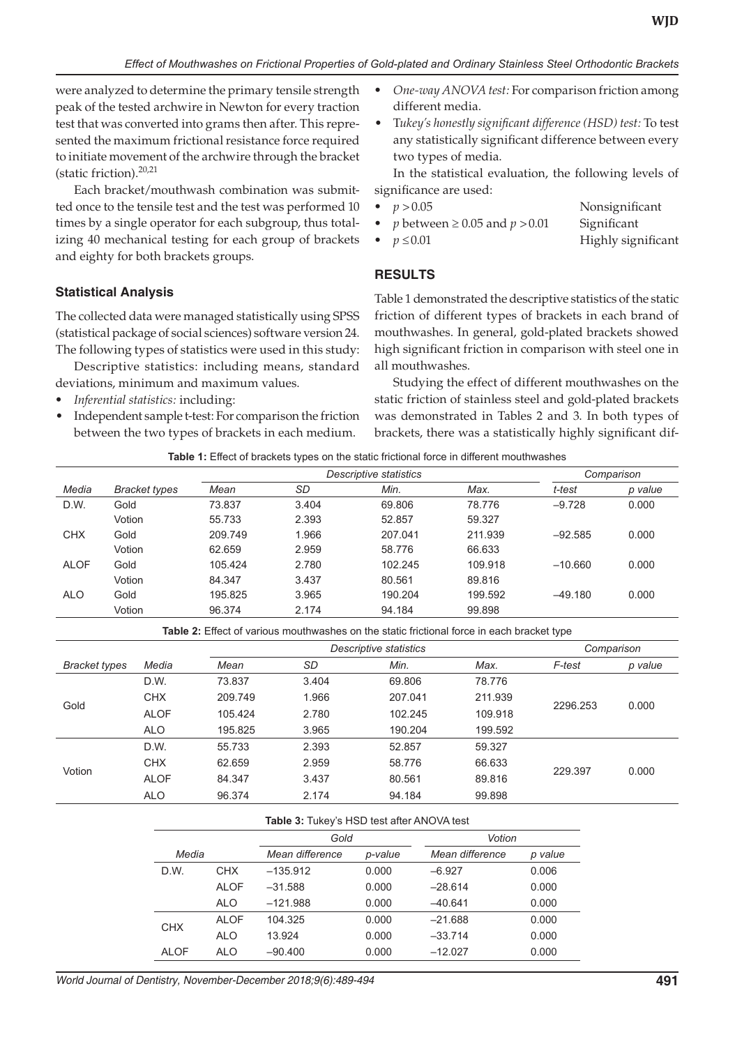were analyzed to determine the primary tensile strength peak of the tested archwire in Newton for every traction test that was converted into grams then after. This represented the maximum frictional resistance force required to initiate movement of the archwire through the bracket (static friction).<sup>20,21</sup>

Each bracket/mouthwash combination was submitted once to the tensile test and the test was performed 10 times by a single operator for each subgroup, thus totalizing 40 mechanical testing for each group of brackets and eighty for both brackets groups.

### **Statistical Analysis**

The collected data were managed statistically using SPSS (statistical package of social sciences) software version 24. The following types of statistics were used in this study:

Descriptive statistics: including means, standard deviations, minimum and maximum values.

- *• Inferential statistics:* including:
- Independent sample t-test: For comparison the friction between the two types of brackets in each medium.
- *• One-way ANOVA test:* For comparison friction among different media.
- T*ukey's honestly significant difference (HSD) test:* To test any statistically significant difference between every two types of media.

In the statistical evaluation, the following levels of significance are used:

| • $p > 0.05$                               | Nonsignificant |
|--------------------------------------------|----------------|
| $\bullet$ n hetween $>0.05$ and $n > 0.01$ | Sionificant    |

- $p$  between  $\geq 0.05$  and  $p > 0.01$  Significant *• p* ≤0.01 Highly significant
	-

# **RESULTS**

Table 1 demonstrated the descriptive statistics of the static friction of different types of brackets in each brand of mouthwashes. In general, gold-plated brackets showed high significant friction in comparison with steel one in all mouthwashes.

Studying the effect of different mouthwashes on the static friction of stainless steel and gold-plated brackets was demonstrated in Tables 2 and 3. In both types of brackets, there was a statistically highly significant dif-

| Table 1: Effect of brackets types on the static frictional force in different mouthwashes |  |
|-------------------------------------------------------------------------------------------|--|
|-------------------------------------------------------------------------------------------|--|

|             |               | Descriptive statistics |       |         |         | Comparison |         |
|-------------|---------------|------------------------|-------|---------|---------|------------|---------|
| Media       | Bracket types | Mean                   | SD    | Min.    | Max.    | t-test     | p value |
| D.W.        | Gold          | 73.837                 | 3.404 | 69.806  | 78.776  | $-9.728$   | 0.000   |
|             | Votion        | 55.733                 | 2.393 | 52.857  | 59.327  |            |         |
| <b>CHX</b>  | Gold          | 209.749                | 1.966 | 207.041 | 211.939 | $-92.585$  | 0.000   |
|             | Votion        | 62.659                 | 2.959 | 58.776  | 66.633  |            |         |
| <b>ALOF</b> | Gold          | 105.424                | 2.780 | 102.245 | 109.918 | $-10.660$  | 0.000   |
|             | Votion        | 84.347                 | 3.437 | 80.561  | 89.816  |            |         |
| ALO         | Gold          | 195.825                | 3.965 | 190.204 | 199.592 | $-49.180$  | 0.000   |
|             | Votion        | 96.374                 | 2.174 | 94.184  | 99.898  |            |         |

**Table 2:** Effect of various mouthwashes on the static frictional force in each bracket type

|                      |             | Descriptive statistics |           |         |         | Comparison |         |
|----------------------|-------------|------------------------|-----------|---------|---------|------------|---------|
| <b>Bracket types</b> | Media       | Mean                   | <b>SD</b> | Min.    | Max.    | F-test     | p value |
|                      | D.W.        | 73.837                 | 3.404     | 69.806  | 78.776  | 2296.253   | 0.000   |
|                      | <b>CHX</b>  | 209.749                | 1.966     | 207.041 | 211.939 |            |         |
| Gold                 | <b>ALOF</b> | 105.424                | 2.780     | 102.245 | 109.918 |            |         |
|                      | <b>ALO</b>  | 195.825                | 3.965     | 190.204 | 199.592 |            |         |
|                      | D.W.        | 55.733                 | 2.393     | 52.857  | 59.327  |            |         |
| Votion               | <b>CHX</b>  | 62.659                 | 2.959     | 58.776  | 66.633  | 229.397    | 0.000   |
|                      | <b>ALOF</b> | 84.347                 | 3.437     | 80.561  | 89.816  |            |         |
|                      | <b>ALO</b>  | 96.374                 | 2.174     | 94.184  | 99.898  |            |         |

#### **Table 3:** Tukey's HSD test after ANOVA test

|             |             | Gold            |         | Votion          |         |  |
|-------------|-------------|-----------------|---------|-----------------|---------|--|
| Media       |             | Mean difference | p-value | Mean difference | p value |  |
| D.W.        | <b>CHX</b>  | $-135.912$      | 0.000   | $-6.927$        | 0.006   |  |
|             | ALOF        | $-31.588$       | 0.000   | $-28.614$       | 0.000   |  |
|             | <b>ALO</b>  | $-121.988$      | 0.000   | $-40.641$       | 0.000   |  |
| <b>CHX</b>  | <b>ALOF</b> | 104.325         | 0.000   | $-21.688$       | 0.000   |  |
|             | ALO         | 13.924          | 0.000   | $-33.714$       | 0.000   |  |
| <b>ALOF</b> | ALO         | $-90.400$       | 0.000   | $-12.027$       | 0.000   |  |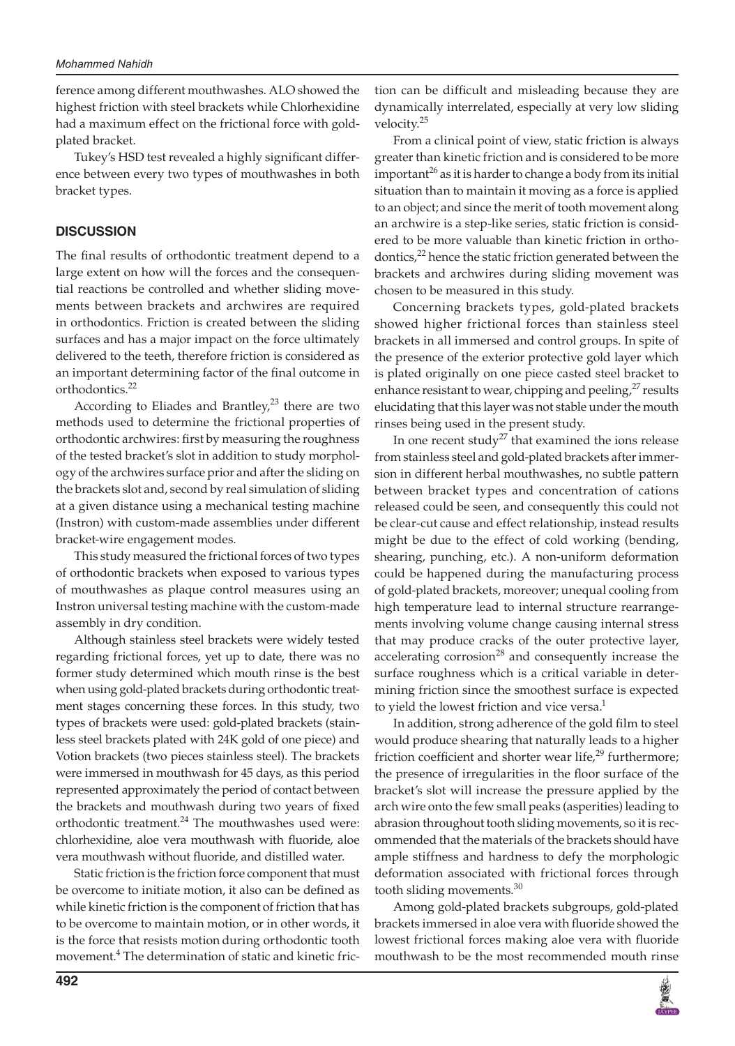ference among different mouthwashes. ALO showed the highest friction with steel brackets while Chlorhexidine had a maximum effect on the frictional force with goldplated bracket.

Tukey's HSD test revealed a highly significant difference between every two types of mouthwashes in both bracket types.

#### **DISCUSSION**

The final results of orthodontic treatment depend to a large extent on how will the forces and the consequential reactions be controlled and whether sliding movements between brackets and archwires are required in orthodontics. Friction is created between the sliding surfaces and has a major impact on the force ultimately delivered to the teeth, therefore friction is considered as an important determining factor of the final outcome in orthodontics.<sup>22</sup>

According to Eliades and Brantley, $2<sup>3</sup>$  there are two methods used to determine the frictional properties of orthodontic archwires: first by measuring the roughness of the tested bracket's slot in addition to study morphology of the archwires surface prior and after the sliding on the brackets slot and, second by real simulation of sliding at a given distance using a mechanical testing machine (Instron) with custom-made assemblies under different bracket-wire engagement modes.

This study measured the frictional forces of two types of orthodontic brackets when exposed to various types of mouthwashes as plaque control measures using an Instron universal testing machine with the custom-made assembly in dry condition.

Although stainless steel brackets were widely tested regarding frictional forces, yet up to date, there was no former study determined which mouth rinse is the best when using gold-plated brackets during orthodontic treatment stages concerning these forces. In this study, two types of brackets were used: gold-plated brackets (stainless steel brackets plated with 24K gold of one piece) and Votion brackets (two pieces stainless steel). The brackets were immersed in mouthwash for 45 days, as this period represented approximately the period of contact between the brackets and mouthwash during two years of fixed orthodontic treatment.<sup>24</sup> The mouthwashes used were: chlorhexidine, aloe vera mouthwash with fluoride, aloe vera mouthwash without fluoride, and distilled water.

Static friction is the friction force component that must be overcome to initiate motion, it also can be defined as while kinetic friction is the component of friction that has to be overcome to maintain motion, or in other words, it is the force that resists motion during orthodontic tooth movement.4 The determination of static and kinetic friction can be difficult and misleading because they are dynamically interrelated, especially at very low sliding velocity.<sup>25</sup>

From a clinical point of view, static friction is always greater than kinetic friction and is considered to be more important<sup>26</sup> as it is harder to change a body from its initial situation than to maintain it moving as a force is applied to an object; and since the merit of tooth movement along an archwire is a step-like series, static friction is considered to be more valuable than kinetic friction in orthodontics, $22$  hence the static friction generated between the brackets and archwires during sliding movement was chosen to be measured in this study.

Concerning brackets types, gold-plated brackets showed higher frictional forces than stainless steel brackets in all immersed and control groups. In spite of the presence of the exterior protective gold layer which is plated originally on one piece casted steel bracket to enhance resistant to wear, chipping and peeling, $27$  results elucidating that this layer was not stable under the mouth rinses being used in the present study.

In one recent study<sup>27</sup> that examined the ions release from stainless steel and gold-plated brackets after immersion in different herbal mouthwashes, no subtle pattern between bracket types and concentration of cations released could be seen, and consequently this could not be clear-cut cause and effect relationship, instead results might be due to the effect of cold working (bending, shearing, punching, etc.). A non-uniform deformation could be happened during the manufacturing process of gold-plated brackets, moreover; unequal cooling from high temperature lead to internal structure rearrangements involving volume change causing internal stress that may produce cracks of the outer protective layer, accelerating corrosion<sup>28</sup> and consequently increase the surface roughness which is a critical variable in determining friction since the smoothest surface is expected to yield the lowest friction and vice versa.<sup>1</sup>

In addition, strong adherence of the gold film to steel would produce shearing that naturally leads to a higher friction coefficient and shorter wear life, $29$  furthermore; the presence of irregularities in the floor surface of the bracket's slot will increase the pressure applied by the arch wire onto the few small peaks (asperities) leading to abrasion throughout tooth sliding movements, so it is recommended that the materials of the brackets should have ample stiffness and hardness to defy the morphologic deformation associated with frictional forces through tooth sliding movements.<sup>30</sup>

Among gold-plated brackets subgroups, gold-plated brackets immersed in aloe vera with fluoride showed the lowest frictional forces making aloe vera with fluoride mouthwash to be the most recommended mouth rinse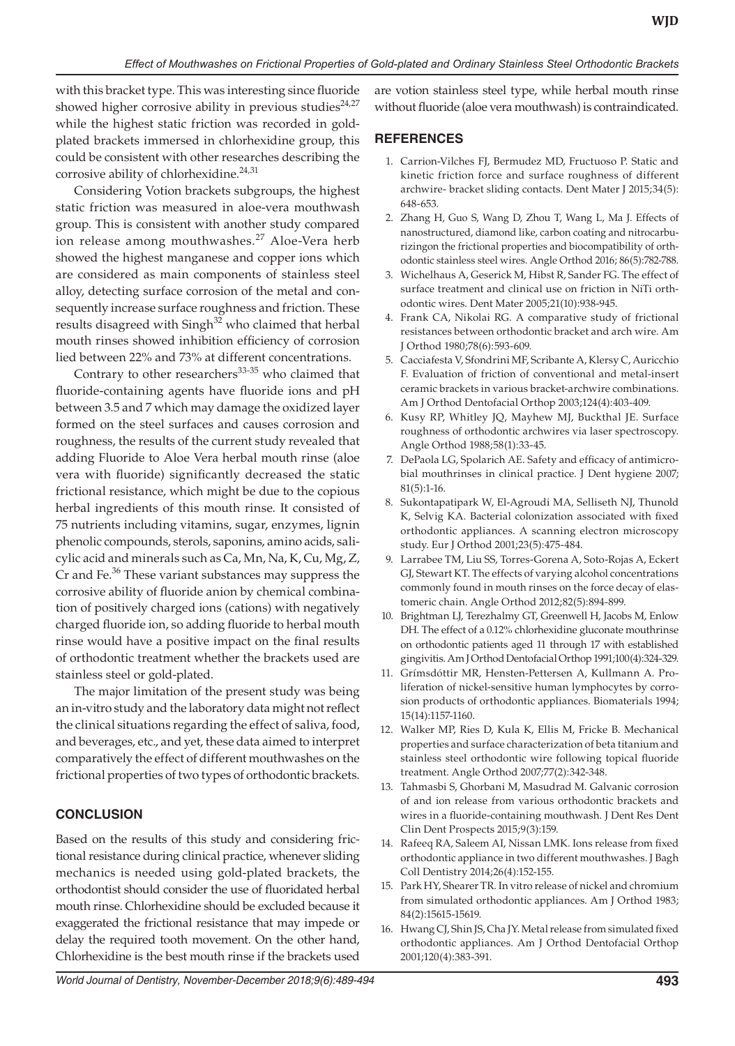with this bracket type. This was interesting since fluoride showed higher corrosive ability in previous studies $24.27$ while the highest static friction was recorded in goldplated brackets immersed in chlorhexidine group, this could be consistent with other researches describing the corrosive ability of chlorhexidine.<sup>24,31</sup>

Considering Votion brackets subgroups, the highest static friction was measured in aloe-vera mouthwash group. This is consistent with another study compared ion release among mouthwashes.<sup>27</sup> Aloe-Vera herb showed the highest manganese and copper ions which are considered as main components of stainless steel alloy, detecting surface corrosion of the metal and consequently increase surface roughness and friction. These results disagreed with Singh<sup>32</sup> who claimed that herbal mouth rinses showed inhibition efficiency of corrosion lied between 22% and 73% at different concentrations.

Contrary to other researchers $33-35$  who claimed that fluoride-containing agents have fluoride ions and pH between 3.5 and 7 which may damage the oxidized layer formed on the steel surfaces and causes corrosion and roughness, the results of the current study revealed that adding Fluoride to Aloe Vera herbal mouth rinse (aloe vera with fluoride) significantly decreased the static frictional resistance, which might be due to the copious herbal ingredients of this mouth rinse. It consisted of 75 nutrients including vitamins, sugar, enzymes, lignin phenolic compounds, sterols, saponins, amino acids, salicylic acid and minerals such as Ca, Mn, Na, K, Cu, Mg, Z, Cr and Fe.<sup>36</sup> These variant substances may suppress the corrosive ability of fluoride anion by chemical combination of positively charged ions (cations) with negatively charged fluoride ion, so adding fluoride to herbal mouth rinse would have a positive impact on the final results of orthodontic treatment whether the brackets used are stainless steel or gold-plated.

The major limitation of the present study was being an in-vitro study and the laboratory data might not reflect the clinical situations regarding the effect of saliva, food, and beverages, etc., and yet, these data aimed to interpret comparatively the effect of different mouthwashes on the frictional properties of two types of orthodontic brackets.

# **CONCLUSION**

Based on the results of this study and considering frictional resistance during clinical practice, whenever sliding mechanics is needed using gold-plated brackets, the orthodontist should consider the use of fluoridated herbal mouth rinse. Chlorhexidine should be excluded because it exaggerated the frictional resistance that may impede or delay the required tooth movement. On the other hand, Chlorhexidine is the best mouth rinse if the brackets used

are votion stainless steel type, while herbal mouth rinse without fluoride (aloe vera mouthwash) is contraindicated.

# **REFERENCES**

- 1. Carrion-Vilches FJ, Bermudez MD, Fructuoso P. Static and kinetic friction force and surface roughness of different archwire- bracket sliding contacts. Dent Mater J 2015;34(5): 648-653.
- 2. Zhang H, Guo S, Wang D, Zhou T, Wang L, Ma J. Effects of nanostructured, diamond like, carbon coating and nitrocarburizingon the frictional properties and biocompatibility of orthodontic stainless steel wires. Angle Orthod 2016; 86(5):782-788.
- 3. Wichelhaus A, Geserick M, Hibst R, Sander FG. The effect of surface treatment and clinical use on friction in NiTi orthodontic wires. Dent Mater 2005;21(10):938-945.
- 4. Frank CA, Nikolai RG. A comparative study of frictional resistances between orthodontic bracket and arch wire. Am J Orthod 1980;78(6):593-609.
- 5. Cacciafesta V, Sfondrini MF, Scribante A, Klersy C, Auricchio F. Evaluation of friction of conventional and metal-insert ceramic brackets in various bracket-archwire combinations. Am J Orthod Dentofacial Orthop 2003;124(4):403-409.
- 6. Kusy RP, Whitley JQ, Mayhew MJ, Buckthal JE. Surface roughness of orthodontic archwires via laser spectroscopy. Angle Orthod 1988;58(1):33-45.
- 7. DePaola LG, Spolarich AE. Safety and efficacy of antimicrobial mouthrinses in clinical practice. J Dent hygiene 2007; 81(5):1-16.
- 8. Sukontapatipark W, El-Agroudi MA, Selliseth NJ, Thunold K, Selvig KA. Bacterial colonization associated with fixed orthodontic appliances. A scanning electron microscopy study. Eur J Orthod 2001;23(5):475-484.
- 9. Larrabee TM, Liu SS, Torres-Gorena A, Soto-Rojas A, Eckert GJ, Stewart KT. The effects of varying alcohol concentrations commonly found in mouth rinses on the force decay of elastomeric chain. Angle Orthod 2012;82(5):894-899.
- 10. Brightman LJ, Terezhalmy GT, Greenwell H, Jacobs M, Enlow DH. The effect of a 0.12% chlorhexidine gluconate mouthrinse on orthodontic patients aged 11 through 17 with established gingivitis. Am J Orthod Dentofacial Orthop 1991;100(4):324-329.
- 11. Grímsdóttir MR, Hensten-Pettersen A, Kullmann A. Proliferation of nickel-sensitive human lymphocytes by corrosion products of orthodontic appliances. Biomaterials 1994; 15(14):1157-1160.
- 12. Walker MP, Ries D, Kula K, Ellis M, Fricke B. Mechanical properties and surface characterization of beta titanium and stainless steel orthodontic wire following topical fluoride treatment. Angle Orthod 2007;77(2):342-348.
- 13. Tahmasbi S, Ghorbani M, Masudrad M. Galvanic corrosion of and ion release from various orthodontic brackets and wires in a fluoride-containing mouthwash. J Dent Res Dent Clin Dent Prospects 2015;9(3):159.
- 14. Rafeeq RA, Saleem AI, Nissan LMK. Ions release from fixed orthodontic appliance in two different mouthwashes. J Bagh Coll Dentistry 2014;26(4):152-155.
- 15. Park HY, Shearer TR. In vitro release of nickel and chromium from simulated orthodontic appliances. Am J Orthod 1983; 84(2):15615-15619.
- 16. Hwang CJ, Shin JS, Cha JY. Metal release from simulated fixed orthodontic appliances. Am J Orthod Dentofacial Orthop 2001;120(4):383-391.